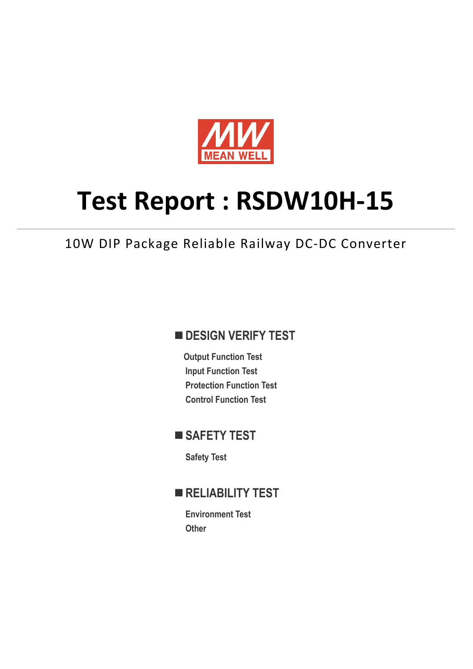

# **Test Report : RSDW10H-15**

10W DIP Package Reliable Railway DC-DC Converter

## **DESIGN VERIFY TEST**

**Output Function Test Input Function Test Protection Function Test Control Function Test** 

## ■ SAFETY TEST

**Safety Test** 

## **RELIABILITY TEST**

**Environment Test Other**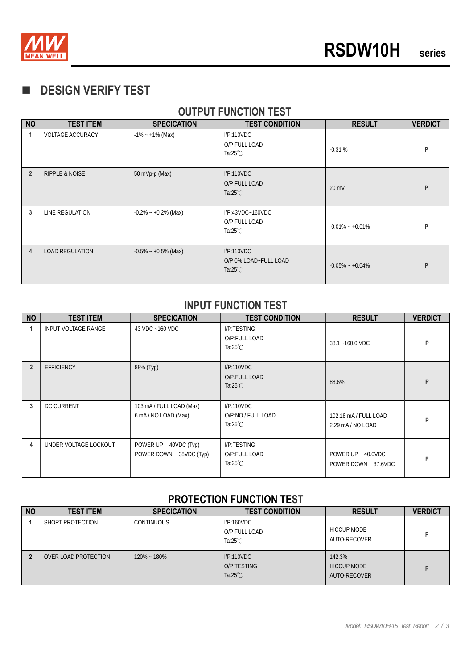

## **DESIGN VERIFY TEST**

#### **NO TEST ITEM SPECICATION TEST CONDITION RESULT VERDICT**  1 | VOLTAGE ACCURACY | -1% ~ +1% (Max) | I/P:110VDC O/P:FULL LOAD Ta:25℃ **P**<br>Ta:25℃ **P 2** RIPPLE & NOISE 50 mVp-p (Max) I/P:110VDC O/P:FULL LOAD Ta:25℃ **P**<br>Ta:25℃ 20 mV **3** LINE REGULATION  $.0.2\% - +0.2\%$  (Max) I/P:43VDC~160VDC O/P:FULL LOAD<br>Ta:25°C  $-0.01\%$  ∼ +0.01% **P 4 LOAD REGULATION** -0.5% ~ +0.5% (Max) I/P:110VDC O/P:0% LOAD~FULL LOAD UP:0% LOAD~FULL LOAD<br>Ta:25℃ **P**<br> $\begin{bmatrix} -0.05\% & -0.04\% \end{bmatrix}$  **P**

#### **OUTPUT FUNCTION TEST**

#### **INPUT FUNCTION TEST**

| <b>NO</b>      | <b>TEST ITEM</b>      | <b>SPECICATION</b>                                   | <b>TEST CONDITION</b>                             | <b>RESULT</b>                             | <b>VERDICT</b> |
|----------------|-----------------------|------------------------------------------------------|---------------------------------------------------|-------------------------------------------|----------------|
|                | INPUT VOLTAGE RANGE   | 43 VDC ~160 VDC                                      | I/P:TESTING<br>O/P:FULL LOAD<br>Ta:25 $°C$        | 38.1~160.0 VDC                            | P              |
| $\overline{2}$ | <b>EFFICIENCY</b>     | 88% (Typ)                                            | I/P:110VDC<br>O/P:FULL LOAD<br>Ta: $25^{\circ}$ C | 88.6%                                     | P              |
| 3              | <b>DC CURRENT</b>     | 103 mA / FULL LOAD (Max)<br>6 mA/NO LOAD (Max)       | I/P:110VDC<br>O/P:NO / FULL LOAD<br>Ta:25 $°C$    | 102.18 mA / FULL LOAD<br>2.29 mA/NO LOAD  | P              |
| 4              | UNDER VOLTAGE LOCKOUT | POWER UP<br>40VDC (Typ)<br>POWER DOWN<br>38VDC (Typ) | I/P:TESTING<br>O/P:FULL LOAD<br>Ta:25 $°C$        | POWER UP<br>40.0VDC<br>POWER DOWN 37.6VDC | P              |

#### **PROTECTION FUNCTION TEST**

| <b>NO</b> | <b>TEST ITEM</b>     | <b>SPECICATION</b> | <b>TEST CONDITION</b>                             | <b>RESULT</b>                                | <b>VERDICT</b> |
|-----------|----------------------|--------------------|---------------------------------------------------|----------------------------------------------|----------------|
|           | SHORT PROTECTION     | <b>CONTINUOUS</b>  | I/P:160VDC<br>O/P:FULL LOAD<br>Ta: $25^{\circ}$ C | <b>HICCUP MODE</b><br>AUTO-RECOVER           | D              |
|           | OVER LOAD PROTECTION | $120\% - 180\%$    | I/P:110VDC<br>O/P:TESTING<br>Ta: $25^{\circ}$ C   | 142.3%<br><b>HICCUP MODE</b><br>AUTO-RECOVER | D              |